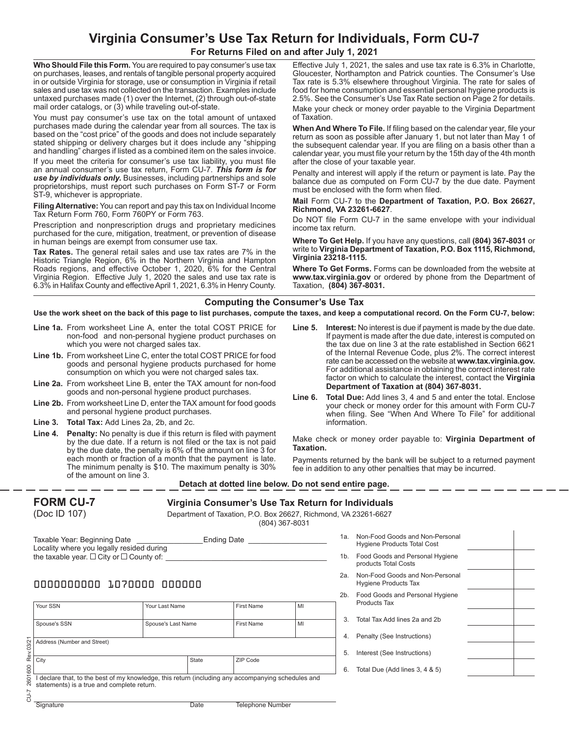# **Virginia Consumer's Use Tax Return for Individuals, Form CU-7**

**For Returns Filed on and after July 1, 2021**

**Who Should File this Form.** You are required to pay consumer's use tax on purchases, leases, and rentals of tangible personal property acquired in or outside Virginia for storage, use or consumption in Virginia if retail sales and use tax was not collected on the transaction. Examples include untaxed purchases made (1) over the Internet, (2) through out-of-state mail order catalogs, or (3) while traveling out-of-state.

You must pay consumer's use tax on the total amount of untaxed purchases made during the calendar year from all sources. The tax is based on the "cost price" of the goods and does not include separately stated shipping or delivery charges but it does include any "shipping and handling" charges if listed as a combined item on the sales invoice.

If you meet the criteria for consumer's use tax liability, you must file an annual consumer's use tax return, Form CU-7. *This form is for use by individuals only.* Businesses, including partnerships and sole proprietorships, must report such purchases on Form ST-7 or Form ST-9, whichever is appropriate.

**Filing Alternative:** You can report and pay this tax on Individual Income Tax Return Form 760, Form 760PY or Form 763.

Prescription and nonprescription drugs and proprietary medicines purchased for the cure, mitigation, treatment, or prevention of disease in human beings are exempt from consumer use tax.

**Tax Rates.** The general retail sales and use tax rates are 7% in the Historic Triangle Region, 6% in the Northern Virginia and Hampton Roads regions, and effective October 1, 2020, 6% for the Central Virginia Region. Effective July 1, 2020 the sales and use tax rate is 6.3% in Halifax County and effective April 1, 2021, 6.3% in Henry County.

Effective July 1, 2021, the sales and use tax rate is 6.3% in Charlotte, Gloucester, Northampton and Patrick counties. The Consumer's Use Tax rate is 5.3% elsewhere throughout Virginia. The rate for sales of food for home consumption and essential personal hygiene products is 2.5%. See the Consumer's Use Tax Rate section on Page 2 for details. Make your check or money order payable to the Virginia Department of Taxation.

**When And Where To File.** If filing based on the calendar year, file your return as soon as possible after January 1, but not later than May 1 of the subsequent calendar year. If you are filing on a basis other than a calendar year, you must file your return by the 15th day of the 4th month after the close of your taxable year.

Penalty and interest will apply if the return or payment is late. Pay the balance due as computed on Form CU-7 by the due date. Payment must be enclosed with the form when filed.

**Mail** Form CU-7 to the **Department of Taxation, P.O. Box 26627, Richmond, VA 23261-6627**.

Do NOT file Form CU-7 in the same envelope with your individual income tax return.

**Where To Get Help.** If you have any questions, call **(804) 367-8031** or write to **Virginia Department of Taxation, P.O. Box 1115, Richmond, Virginia 23218-1115.**

**Where To Get Forms.** Forms can be downloaded from the website at **www.tax.virginia.gov** or ordered by phone from the Department of Taxation, **(804) 367-8031.**

### **Computing the Consumer's Use Tax**

**Use the work sheet on the back of this page to list purchases, compute the taxes, and keep a computational record. On the Form CU-7, below:**

- **Line 1a.** From worksheet Line A, enter the total COST PRICE for non-food and non-personal hygiene product purchases on which you were not charged sales tax.
- **Line 1b.** From worksheet Line C, enter the total COST PRICE for food goods and personal hygiene products purchased for home consumption on which you were not charged sales tax.
- **Line 2a.** From worksheet Line B, enter the TAX amount for non-food goods and non-personal hygiene product purchases.
- **Line 2b.** From worksheet Line D, enter the TAX amount for food goods and personal hygiene product purchases.
- **Line 3. Total Tax:** Add Lines 2a, 2b, and 2c.
- **Line 4. Penalty:** No penalty is due if this return is filed with payment by the due date. If a return is not filed or the tax is not paid by the due date, the penalty is 6% of the amount on line 3 for each month or fraction of a month that the payment is late. The minimum penalty is \$10. The maximum penalty is 30% of the amount on line 3.
- **Line 5. Interest:** No interest is due if payment is made by the due date. If payment is made after the due date, interest is computed on the tax due on line 3 at the rate established in Section 6621 of the Internal Revenue Code, plus 2%. The correct interest rate can be accessed on the website at **www.tax.virginia.gov.**  For additional assistance in obtaining the correct interest rate factor on which to calculate the interest, contact the **Virginia Department of Taxation at (804) 367-8031.**
- **Line 6. Total Due:** Add lines 3, 4 and 5 and enter the total. Enclose your check or money order for this amount with Form CU-7 when filing. See "When And Where To File" for additional information.

Make check or money order payable to: **Virginia Department of Taxation.**

Payments returned by the bank will be subject to a returned payment fee in addition to any other penalties that may be incurred.

#### **Detach at dotted line below. Do not send entire page.**

| <b>FORM CU-7</b> | Virginia Consumer's Use Tax Return for Individuals              |  |  |  |
|------------------|-----------------------------------------------------------------|--|--|--|
| (Doc ID 107)     | Department of Taxation, P.O. Box 26627, Richmond, VA 23261-6627 |  |  |  |
|                  | (804) 367-8031                                                  |  |  |  |

| Taxable Year: Beginning Date                       | <b>Ending Date</b> |  |
|----------------------------------------------------|--------------------|--|
| Locality where you legally resided during          |                    |  |
| the taxable year. $\Box$ City or $\Box$ County of: |                    |  |

# 0000000000 1070000 000000

|                     | Your SSN                                                                                                                                       | Your Last Name     |       | <b>First Name</b> | MI |  |  |
|---------------------|------------------------------------------------------------------------------------------------------------------------------------------------|--------------------|-------|-------------------|----|--|--|
|                     | Spouse's SSN                                                                                                                                   | Spouse's Last Name |       | <b>First Name</b> | MI |  |  |
| Rev.03/21           | Address (Number and Street)                                                                                                                    |                    |       |                   |    |  |  |
|                     | City                                                                                                                                           |                    | State | ZIP Code          |    |  |  |
| 2601600<br>2-N<br>O | declare that, to the best of my knowledge, this return (including any accompanying schedules and<br>statements) is a true and complete return. |                    |       |                   |    |  |  |

1a. Non-Food Goods and Non-Personal Hygiene Products Total Cost 1b. Food Goods and Personal Hygiene products Total Costs 2a. Non-Food Goods and Non-Personal Hygiene Products Tax 2b. Food Goods and Personal Hygiene Products Tax 3. Total Tax Add lines 2a and 2b 4. Penalty (See Instructions) 5. Interest (See Instructions) 6. Total Due (Add lines 3, 4 & 5)